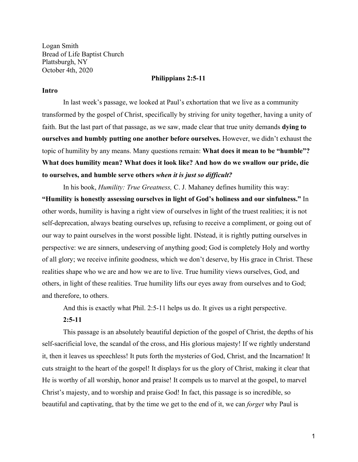Logan Smith Bread of Life Baptist Church Plattsburgh, NY October 4th, 2020

### **Philippians 2:5-11**

### **Intro**

In last week's passage, we looked at Paul's exhortation that we live as a community transformed by the gospel of Christ, specifically by striving for unity together, having a unity of faith. But the last part of that passage, as we saw, made clear that true unity demands **dying to burselves and humbly putting one another before ourselves.** However, we didn't exhaust the topic of humility by any means. Many questions remain: **What does it mean to be "humble"?** What does humility mean? What does it look like? And how do we swallow our pride, die to ourselves, and humble serve others *when it is just so difficult?* 

In his book, *Humility: True Greatness*, C. J. Mahaney defines humility this way: **"Humility is honestly assessing ourselves in light of God's holiness and our sinfulness."** In other words, humility is having a right view of ourselves in light of the truest realities; it is not self-deprecation, always beating ourselves up, refusing to receive a compliment, or going out of our way to paint ourselves in the worst possible light. INstead, it is rightly putting ourselves in perspective: we are sinners, undeserving of anything good; God is completely Holy and worthy of all glory; we receive infinite goodness, which we don't deserve, by His grace in Christ. These realities shape who we are and how we are to live. True humility views ourselves, God, and others, in light of these realities. True humility lifts our eyes away from ourselves and to God; and therefore, to others.

And this is exactly what Phil. 2:5-11 helps us do. It gives us a right perspective.

#### **2:5-11**

This passage is an absolutely beautiful depiction of the gospel of Christ, the depths of his self-sacrificial love, the scandal of the cross, and His glorious majesty! If we rightly understand it, then it leaves us speechless! It puts forth the mysteries of God, Christ, and the Incarnation! It cuts straight to the heart of the gospel! It displays for us the glory of Christ, making it clear that He is worthy of all worship, honor and praise! It compels us to marvel at the gospel, to marvel Christ's majesty, and to worship and praise God! In fact, this passage is so incredible, so beautiful and captivating, that by the time we get to the end of it, we can *forget* why Paul is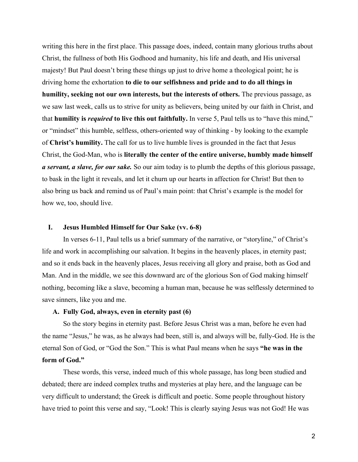writing this here in the first place. This passage does, indeed, contain many glorious truths about Christ, the fullness of both His Godhood and humanity, his life and death, and His universal majesty! But Paul doesn't bring these things up just to drive home a theological point; he is driving home the exhortation **to die to our selfishness and pride and to do all things in humility, seeking not our own interests, but the interests of others.** The previous passage, as we saw last week, calls us to strive for unity as believers, being united by our faith in Christ, and that **humility is** *required* to live this out faithfully. In verse 5, Paul tells us to "have this mind," or "mindset" this humble, selfless, others-oriented way of thinking - by looking to the example of **Christ's humility.** The call for us to live humble lives is grounded in the fact that Jesus Christ, the God-Man, who is **literally the center of the entire universe, humbly made himself** *a servant, a slave, for our sake.* So our aim today is to plumb the depths of this glorious passage, to bask in the light it reveals, and let it churn up our hearts in affection for Christ! But then to also bring us back and remind us of Paul's main point: that Christ's example is the model for how we, too, should live.

#### **I. Jesus Humbled Himself for Our Sake (vv. 6-8)**

In verses 6-11, Paul tells us a brief summary of the narrative, or "storyline," of Christ's life and work in accomplishing our salvation. It begins in the heavenly places, in eternity past; and so it ends back in the heavenly places, Jesus receiving all glory and praise, both as God and Man. And in the middle, we see this downward arc of the glorious Son of God making himself nothing, becoming like a slave, becoming a human man, because he was selflessly determined to save sinners, like you and me.

## **A. Full\ God, alwa\s, even in eternit\ past (6)**

So the story begins in eternity past. Before Jesus Christ was a man, before he even had the name "Jesus," he was, as he always had been, still is, and always will be, fully-God. He is the eternal Son of God, or "God the Son." This is what Paul means when he says "he was in the **form of God.´**

These words, this verse, indeed much of this whole passage, has long been studied and debated; there are indeed complex truths and mysteries at play here, and the language can be very difficult to understand; the Greek is difficult and poetic. Some people throughout history have tried to point this verse and say, "Look! This is clearly saying Jesus was not God! He was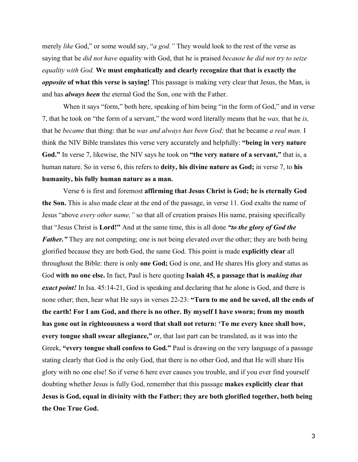merely *like* God," or some would say, "*a god.*" They would look to the rest of the verse as saying that he *did not have* equality with God, that he is praised *because he did not try to seize equality with God.* We must emphatically and clearly recognize that that is exactly the *opposite* of what this verse is saying! This passage is making very clear that Jesus, the Man, is and has *always been* the eternal God the Son, one with the Father.

When it says "form," both here, speaking of him being "in the form of God," and in verse 7, that he took on "the form of a servant," the word word literally means that he *was*, that he *is*, that he *became* that thing: that he *was and always has been God;* that he became *a real man.* I think the NIV Bible translates this verse very accurately and helpfully: "being in very nature God." In verse 7, likewise, the NIV says he took on "the very nature of a servant," that is, a human nature. So in verse 6, this refers to **deity, his divine nature as God;** in verse 7, to **his humanit\, his full\ human nature as a man.**

Verse 6 is first and foremost **affirming that Jesus Christ is God; he is eternall\ God the Son.** This is also made clear at the end of the passage, in verse 11. God exalts the name of Jesus "above *every other name*," so that all of creation praises His name, praising specifically that "Jesus Christ is **Lord!"** And at the same time, this is all done *"to the glory of God the Father.*" They are not competing; one is not being elevated over the other; they are both being glorified because the\ are both God, the same God. This point is made **explicitl\ clear** all throughout the Bible: there is only **one God;** God is one, and He shares His glory and status as God with no one else. In fact, Paul is here quoting Isaiah 45, a passage that is *making that exact point!* In Isa. 45:14-21, God is speaking and declaring that he alone is God, and there is none other; then, hear what He says in verses 22-23: "Turn to me and be saved, all the ends of the earth! For I am God, and there is no other. By myself I have sworn; from my mouth has gone out in righteousness a word that shall not return: 'To me every knee shall bow, **every tongue shall swear allegiance,**" or, that last part can be translated, as it was into the Greek, "every tongue shall confess to God." Paul is drawing on the very language of a passage stating clearly that God is the only God, that there is no other God, and that He will share His glory with no one else! So if verse 6 here ever causes you trouble, and if you ever find yourself doubting whether Jesus is fully God, remember that this passage makes explicitly clear that **Jesus is God, equal in divinity with the Father; they are both glorified together, both being the One True God.**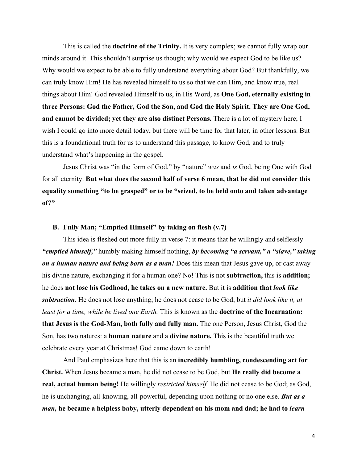This is called the **doctrine of the Trinity.** It is very complex; we cannot fully wrap our minds around it. This shouldn't surprise us though; why would we expect God to be like us? Why would we expect to be able to fully understand everything about God? But thankfully, we can truly know Him! He has revealed himself to us so that we can Him, and know true, real things about Him! God revealed Himself to us, in His Word, as **One God, eternall\ existing in** three Persons: God the Father, God the Son, and God the Holy Spirit. They are One God, and cannot be divided; yet they are also distinct Persons. There is a lot of mystery here; I wish I could go into more detail today, but there will be time for that later, in other lessons. But this is a foundational truth for us to understand this passage, to know God, and to trul\ understand what's happening in the gospel.

Jesus Christ was "in the form of God," by "nature" *was* and *is* God, being One with God for all eternity. **But what does the second half of verse 6 mean, that he did not consider this** equality something "to be grasped" or to be "seized, to be held onto and taken advantage **of?´**

#### **B.** Fully Man; "Emptied Himself" by taking on flesh (v.7)

This idea is fleshed out more fully in verse 7: it means that he willingly and selflessly *igemptied himself,*" humbly making himself nothing, *by becoming "a servant," a "slave," taking on a human nature and being born as a man!* Does this mean that Jesus gave up, or cast away his divine nature, exchanging it for a human one? No! This is not **subtraction,** this is **addition;** he does **not lose his Godhood, he takes on a new nature.** But it is **addition that** *look like subtraction.* He does not lose anything; he does not cease to be God, but *it did look like it, at least for a time, while he lived one Earth.* This is known as the **doctrine of the Incarnation: that Jesus is the God-Man, both full\ and full\ man.** The one Person, Jesus Christ, God the Son, has two natures: a **human nature** and a **divine nature.** This is the beautiful truth we celebrate every year at Christmas! God came down to earth!

And Paul emphasizes here that this is an **incredibly humbling, condescending act for Christ.** When Jesus became a man, he did not cease to be God, but **He reall\ did become a** real, actual human being! He willingly *restricted himself*. He did not cease to be God; as God, he is unchanging, all-knowing, all-powerful, depending upon nothing or no one else. **But as a** *man*, he became a helpless baby, utterly dependent on his mom and dad; he had to *learn*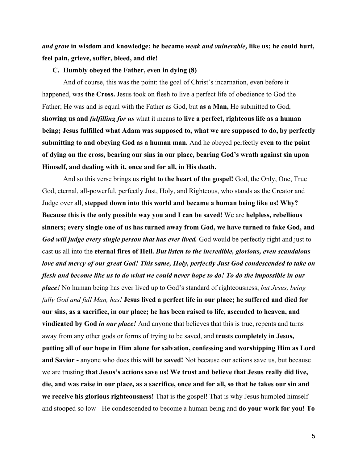*and grow* in wisdom and knowledge; he became *weak and vulnerable*, like us; he could hurt, **feel pain, grieve, suffer, bleed, and die!**

### **C.** Humbly obeyed the Father, even in dying (8)

And of course, this was the point: the goal of Christ's incarnation, even before it happened, was **the Cross.** Jesus took on flesh to live a perfect life of obedience to God the Father; He was and is equal with the Father as God, but **as a Man,** He submitted to God, **showing us and** *fulfilling for us* **what it means to live a perfect, righteous life as a human** being; Jesus fulfilled what Adam was supposed to, what we are supposed to do, by perfectly submitting to and obeying God as a human man. And he obeyed perfectly even to the point of dying on the cross, bearing our sins in our place, bearing God's wrath against sin upon **Himself, and dealing with it, once and for all, in His death.**

And so this verse brings us **right to the heart of the gospel!** God, the Onl\, One, True God, eternal, all-powerful, perfectly Just, Holy, and Righteous, who stands as the Creator and Judge over all, **stepped down into this world and became a human being like us! Why? Because this is the onl\ possible wa\ \ou and I can be saved!** We are **helpless, rebellious** sinners; every single one of us has turned away from God, we have turned to fake God, and *God will judge every single person that has ever lived.* God would be perfectly right and just to cast us all into the **eternal fires of Hell. But listen to the incredible, glorious, even scandalous** *love and mercy of our great God! This same, Holy, perfectly Just God condescended to take on flesh and become like us to do what we could never hope to do! To do the impossible in our place!* No human being has ever lived up to God's standard of righteousness; *but Jesus, being fully God and full Man, has!* **Jesus lived a perfect life in our place; he suffered and died for our sins, as a sacrifice, in our place; he has been raised to life, ascended to heaven, and vindicated by God** *in our place!* And anyone that believes that this is true, repents and turns away from any other gods or forms of trying to be saved, and **trusts completely in Jesus, putting all of our hope in Him alone for salvation, confessing and worshipping Him as Lord and Savior - anyone who does this <b>will be saved!** Not because our actions save us, but because we are trusting that Jesus's actions save us! We trust and believe that Jesus really did live, **die, and was raise in our place, as a sacrifice, once and for all, so that he takes our sin and** we receive his glorious righteousness! That is the gospel! That is why Jesus humbled himself and stooped so low - He condescended to become a human being and **do your work for you! To**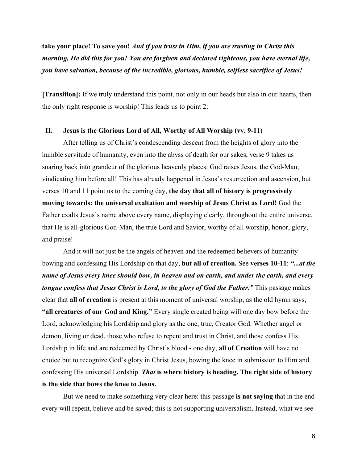take your place! To save you! *And if you trust in Him, if you are trusting in Christ this morning, He did this for you! You are forgiven and declared righteous, you have eternal life, you have salvation, because of the incredible, glorious, humble, selfless sacrifice of Jesus!* 

**[Transition]:** If we truly understand this point, not only in our heads but also in our hearts, then the only right response is worship! This leads us to point  $2$ :

#### **II. Jesus is the Glorious Lord of All, Worth\ of All Worship (vv. 9-11)**

After telling us of Christ's condescending descent from the heights of glory into the humble servitude of humanity, even into the abyss of death for our sakes, verse 9 takes us soaring back into grandeur of the glorious heavenly places: God raises Jesus, the God-Man, vindicating him before all! This has already happened in Jesus's resurrection and ascension, but verses 10 and 11 point us to the coming day, the day that all of history is progressively **moving towards: the universal exaltation and worship of Jesus Christ as Lord!** God the Father exalts Jesus's name above every name, displaying clearly, throughout the entire universe, that He is all-glorious God-Man, the true Lord and Savior, worthy of all worship, honor, glory, and praise!

And it will not just be the angels of heaven and the redeemed believers of humanity bowing and confessing His Lordship on that day, but all of creation. See verses 10-11: *"...at the name of Jesus every knee should bow, in heaven and on earth, and under the earth, and every tongue confess that Jesus Christ is Lord, to the glory of God the Father.* "This passage makes clear that **all of creation** is present at this moment of universal worship; as the old hymn says, "all creatures of our God and King." Every single created being will one day bow before the Lord, acknowledging his Lordship and glory as the one, true, Creator God. Whether angel or demon, living or dead, those who refuse to repent and trust in Christ, and those confess His Lordship in life and are redeemed by Christ's blood - one day, **all of Creation** will have no choice but to recognize God's glory in Christ Jesus, bowing the knee in submission to Him and confessing His universal Lordship. *That* is where history is heading. The right side of history **is the side that bows the knee to Jesus.**

But we need to make something very clear here: this passage **is not saying** that in the end every will repent, believe and be saved; this is not supporting universalism. Instead, what we see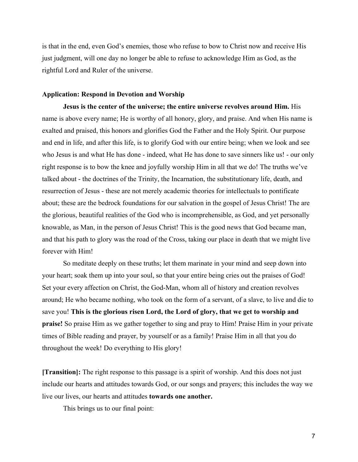is that in the end, even God's enemies, those who refuse to bow to Christ now and receive His just judgment, will one day no longer be able to refuse to acknowledge Him as God, as the rightful Lord and Ruler of the universe.

#### **Application: Respond in Devotion and Worship**

**Jesus is the center of the universe; the entire universe revolves around Him.** His name is above every name; He is worthy of all honory, glory, and praise. And when His name is exalted and praised, this honors and glorifies God the Father and the Holy Spirit. Our purpose and end in life, and after this life, is to glorify God with our entire being; when we look and see who Jesus is and what He has done - indeed, what He has done to save sinners like us! - our only right response is to bow the knee and joyfully worship Him in all that we do! The truths we've talked about - the doctrines of the Trinity, the Incarnation, the substitutionary life, death, and resurrection of Jesus - these are not merely academic theories for intellectuals to pontificate about; these are the bedrock foundations for our salvation in the gospel of Jesus Christ! The are the glorious, beautiful realities of the God who is incomprehensible, as God, and \et personall\ knowable, as Man, in the person of Jesus Christ! This is the good news that God became man, and that his path to glory was the road of the Cross, taking our place in death that we might live forever with Him!

So meditate deeply on these truths; let them marinate in your mind and seep down into your heart; soak them up into your soul, so that your entire being cries out the praises of God! Set your every affection on Christ, the God-Man, whom all of history and creation revolves around; He who became nothing, who took on the form of a servant, of a slave, to live and die to save you! This is the glorious risen Lord, the Lord of glory, that we get to worship and **praise!** So praise Him as we gather together to sing and pray to Him! Praise Him in your private times of Bible reading and prayer, by yourself or as a family! Praise Him in all that you do throughout the week! Do everything to His glory!

**[Transition]:** The right response to this passage is a spirit of worship. And this does not just include our hearts and attitudes towards God, or our songs and prayers; this includes the way we live our lives, our hearts and attitudes **towards one another.**

This brings us to our final point: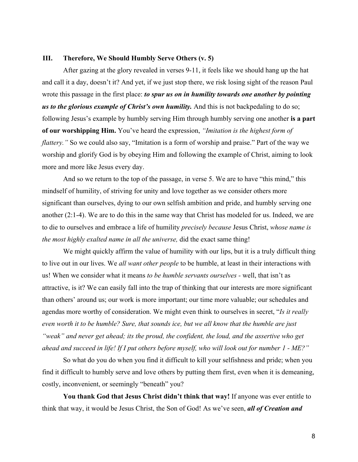# **III.** Therefore, We Should Humbly Serve Others (v. 5)

After gazing at the glory revealed in verses 9-11, it feels like we should hang up the hat and call it a day, doesn't it? And yet, if we just stop there, we risk losing sight of the reason Paul wrote this passage in the first place: *to spur us on in humility towards one another by pointing us to the glorious example of Christ's own humility.* And this is not backpedaling to do so; following Jesus's example by humbly serving Him through humbly serving one another **is a part of our worshipping Him.** You've heard the expression, *"Imitation is the highest form of flattery.* " So we could also say, "Imitation is a form of worship and praise." Part of the way we worship and glorify God is by obeying Him and following the example of Christ, aiming to look more and more like Jesus every day.

And so we return to the top of the passage, in verse 5. We are to have "this mind," this mindself of humility, of striving for unity and love together as we consider others more significant than ourselves, dying to our own selfish ambition and pride, and humbly serving one another  $(2:1-4)$ . We are to do this in the same way that Christ has modeled for us. Indeed, we are to die to ourselves and embrace a life of humility *precisely because Jesus Christ, whose name is the most highly exalted name in all the universe, did the exact same thing!* 

We might quickly affirm the value of humility with our lips, but it is a truly difficult thing to live out in our lives. We *all want other people* to be humble, at least in their interactions with us! When we consider what it means *to be humble servants ourselves* - well, that isn't as attractive, is it? We can easily fall into the trap of thinking that our interests are more significant than others' around us; our work is more important; our time more valuable; our schedules and agendas more worthy of consideration. We might even think to ourselves in secret, "*Is it really even worth it to be humble? Sure, that sounds ice, but we all know that the humble are just* "weak" and never get ahead; its the proud, the confident, the loud, and the assertive who get *ahead and succeed in life! If I put others before myself, who will look out for number 1 - ME?*<sup>"</sup>

So what do you do when you find it difficult to kill your selfishness and pride; when you find it difficult to humbly serve and love others by putting them first, even when it is demeaning, costly, inconvenient, or seemingly "beneath" you?

**You thank God that Jesus Christ didn't think that way!** If anyone was ever entitle to think that way, it would be Jesus Christ, the Son of God! As we've seen, *all of Creation and*